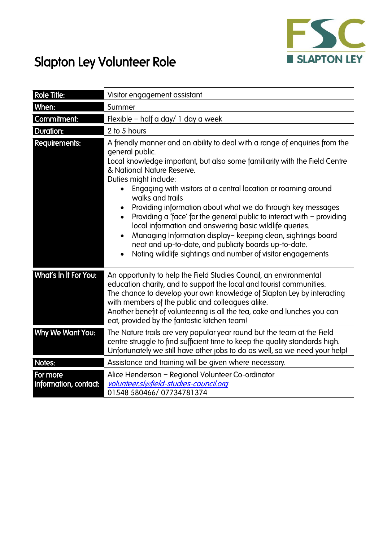

## Slapton Ley Volunteer Role

| <b>Role Title:</b>                | Visitor engagement assistant                                                                                                                                                                                                                                                                                                                                                                                                                                                                                                                                                                                                                                                                                                                   |  |
|-----------------------------------|------------------------------------------------------------------------------------------------------------------------------------------------------------------------------------------------------------------------------------------------------------------------------------------------------------------------------------------------------------------------------------------------------------------------------------------------------------------------------------------------------------------------------------------------------------------------------------------------------------------------------------------------------------------------------------------------------------------------------------------------|--|
| When:                             | Summer                                                                                                                                                                                                                                                                                                                                                                                                                                                                                                                                                                                                                                                                                                                                         |  |
| Commitment:                       | Flexible - half a day/ 1 day a week                                                                                                                                                                                                                                                                                                                                                                                                                                                                                                                                                                                                                                                                                                            |  |
| <b>Duration:</b>                  | 2 to 5 hours                                                                                                                                                                                                                                                                                                                                                                                                                                                                                                                                                                                                                                                                                                                                   |  |
| Requirements:                     | A friendly manner and an ability to deal with a range of enquiries from the<br>general public.<br>Local knowledge important, but also some familiarity with the Field Centre<br>& National Nature Reserve.<br>Duties might include:<br>Engaging with visitors at a central location or roaming around<br>walks and trails<br>Providing information about what we do through key messages<br>Providing a 'face' for the general public to interact with - providing<br>$\bullet$<br>local information and answering basic wildlife queries.<br>Managing Information display-keeping clean, sightings board<br>neat and up-to-date, and publicity boards up-to-date.<br>Noting wildlife sightings and number of visitor engagements<br>$\bullet$ |  |
| What's In It For You:             | An opportunity to help the Field Studies Council, an environmental<br>education charity, and to support the local and tourist communities.<br>The chance to develop your own knowledge of Slapton Ley by interacting<br>with members of the public and colleagues alike.<br>Another benefit of volunteering is all the tea, cake and lunches you can<br>eat, provided by the fantastic kitchen team!                                                                                                                                                                                                                                                                                                                                           |  |
| Why We Want You:                  | The Nature trails are very popular year round but the team at the Field<br>centre struggle to find sufficient time to keep the quality standards high.<br>Unfortunately we still have other jobs to do as well, so we need your help!                                                                                                                                                                                                                                                                                                                                                                                                                                                                                                          |  |
| Notes:                            | Assistance and training will be given where necessary.                                                                                                                                                                                                                                                                                                                                                                                                                                                                                                                                                                                                                                                                                         |  |
| For more<br>information, contact: | Alice Henderson - Regional Volunteer Co-ordinator<br>volunteer.sl@field-studies-council.org<br>01548 580466/07734781374                                                                                                                                                                                                                                                                                                                                                                                                                                                                                                                                                                                                                        |  |